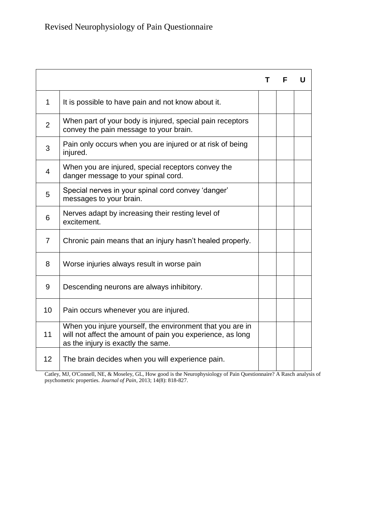|                |                                                                                                                                                               | т | F | U |
|----------------|---------------------------------------------------------------------------------------------------------------------------------------------------------------|---|---|---|
| $\mathbf 1$    | It is possible to have pain and not know about it.                                                                                                            |   |   |   |
| $\overline{2}$ | When part of your body is injured, special pain receptors<br>convey the pain message to your brain.                                                           |   |   |   |
| 3              | Pain only occurs when you are injured or at risk of being<br>injured.                                                                                         |   |   |   |
| $\overline{4}$ | When you are injured, special receptors convey the<br>danger message to your spinal cord.                                                                     |   |   |   |
| 5              | Special nerves in your spinal cord convey 'danger'<br>messages to your brain.                                                                                 |   |   |   |
| 6              | Nerves adapt by increasing their resting level of<br>excitement.                                                                                              |   |   |   |
| $\overline{7}$ | Chronic pain means that an injury hasn't healed properly.                                                                                                     |   |   |   |
| 8              | Worse injuries always result in worse pain                                                                                                                    |   |   |   |
| 9              | Descending neurons are always inhibitory.                                                                                                                     |   |   |   |
| 10             | Pain occurs whenever you are injured.                                                                                                                         |   |   |   |
| 11             | When you injure yourself, the environment that you are in<br>will not affect the amount of pain you experience, as long<br>as the injury is exactly the same. |   |   |   |
| 12             | The brain decides when you will experience pain.                                                                                                              |   |   |   |

Catley, MJ, O'Connell, NE, & Moseley, GL, How good is the Neurophysiology of Pain Questionnaire? A Rasch analysis of psychometric properties. *Journal of Pain*, 2013; 14(8): 818-827.